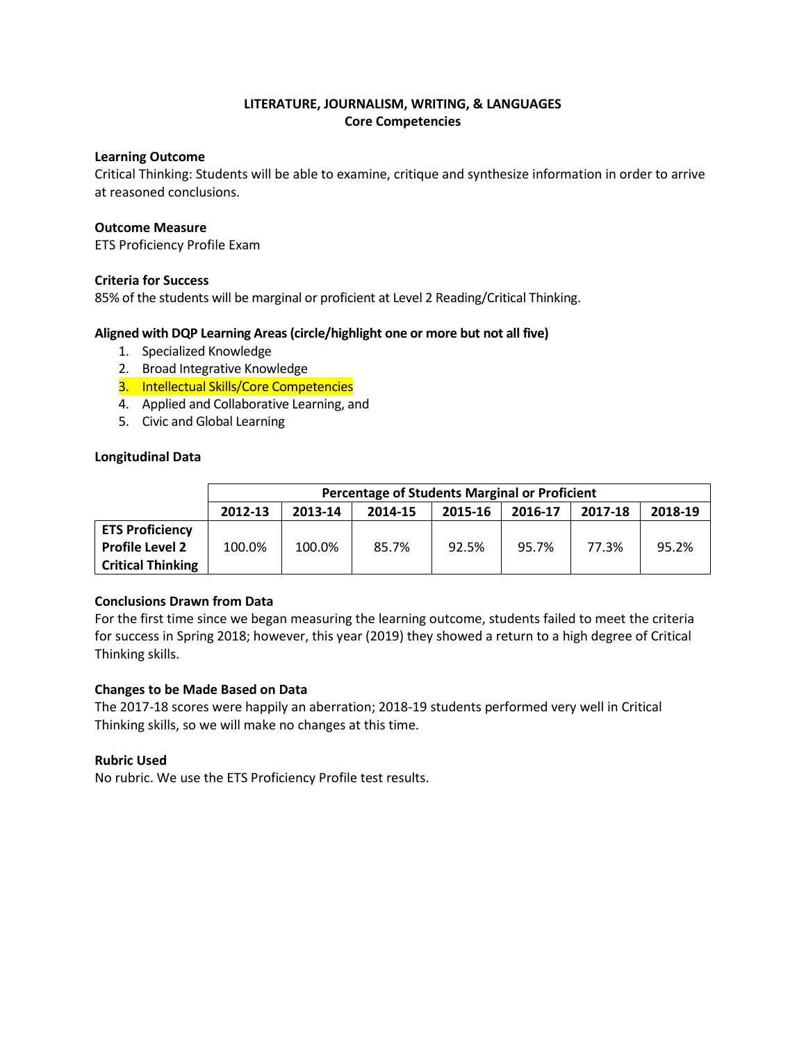# **LITERATURE, JOURNALISM, WRITING, & LANGUAGES Core Competencies**

### **Learning Outcome**

Critical Thinking: Students will be able to examine, critique and synthesize information in order to arrive at reasoned conclusions.

### **Outcome Measure**

ETS Proficiency Profile Exam

### **Criteria for Success**

85% of the students will be marginal or proficient at Level 2 Reading/Critical Thinking.

### **Aligned with DQP Learning Areas (circle/highlight one or more but not all five)**

- 1. Specialized Knowledge
- 2. Broad Integrative Knowledge
- 3. Intellectual Skills/Core Competencies
- 4. Applied and Collaborative Learning, and
- 5. Civic and Global Learning

#### **Longitudinal Data**

|                          | <b>Percentage of Students Marginal or Proficient</b> |         |         |         |         |         |         |
|--------------------------|------------------------------------------------------|---------|---------|---------|---------|---------|---------|
|                          | 2012-13                                              | 2013-14 | 2014-15 | 2015-16 | 2016-17 | 2017-18 | 2018-19 |
| <b>ETS Proficiency</b>   |                                                      |         |         |         |         |         |         |
| <b>Profile Level 2</b>   | 100.0%                                               | 100.0%  | 85.7%   | 92.5%   | 95.7%   | 77.3%   | 95.2%   |
| <b>Critical Thinking</b> |                                                      |         |         |         |         |         |         |

#### **Conclusions Drawn from Data**

For the first time since we began measuring the learning outcome, students failed to meet the criteria for success in Spring 2018; however, this year (2019) they showed a return to a high degree of Critical Thinking skills.

#### **Changes to be Made Based on Data**

The 2017-18 scores were happily an aberration; 2018-19 students performed very well in Critical Thinking skills, so we will make no changes at this time.

# **Rubric Used**

No rubric. We use the ETS Proficiency Profile test results.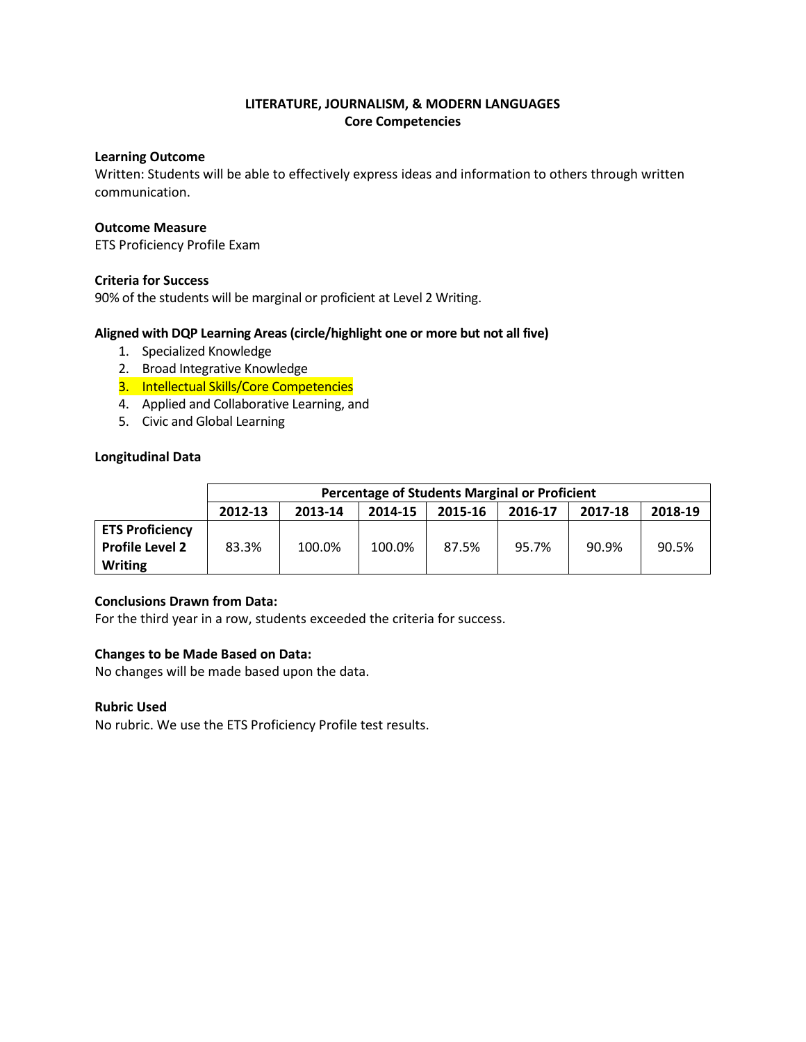### **Learning Outcome**

Written: Students will be able to effectively express ideas and information to others through written communication.

### **Outcome Measure**

ETS Proficiency Profile Exam

### **Criteria for Success**

90% of the students will be marginal or proficient at Level 2 Writing.

### **Aligned with DQP Learning Areas (circle/highlight one or more but not all five)**

- 1. Specialized Knowledge
- 2. Broad Integrative Knowledge
- 3. Intellectual Skills/Core Competencies
- 4. Applied and Collaborative Learning, and
- 5. Civic and Global Learning

### **Longitudinal Data**

|                        | <b>Percentage of Students Marginal or Proficient</b> |         |         |         |         |         |         |
|------------------------|------------------------------------------------------|---------|---------|---------|---------|---------|---------|
|                        | 2012-13                                              | 2013-14 | 2014-15 | 2015-16 | 2016-17 | 2017-18 | 2018-19 |
| <b>ETS Proficiency</b> |                                                      |         |         |         |         |         |         |
| <b>Profile Level 2</b> | 83.3%                                                | 100.0%  | 100.0%  | 87.5%   | 95.7%   | 90.9%   | 90.5%   |
| <b>Writing</b>         |                                                      |         |         |         |         |         |         |

#### **Conclusions Drawn from Data:**

For the third year in a row, students exceeded the criteria for success.

# **Changes to be Made Based on Data:**

No changes will be made based upon the data.

#### **Rubric Used**

No rubric. We use the ETS Proficiency Profile test results.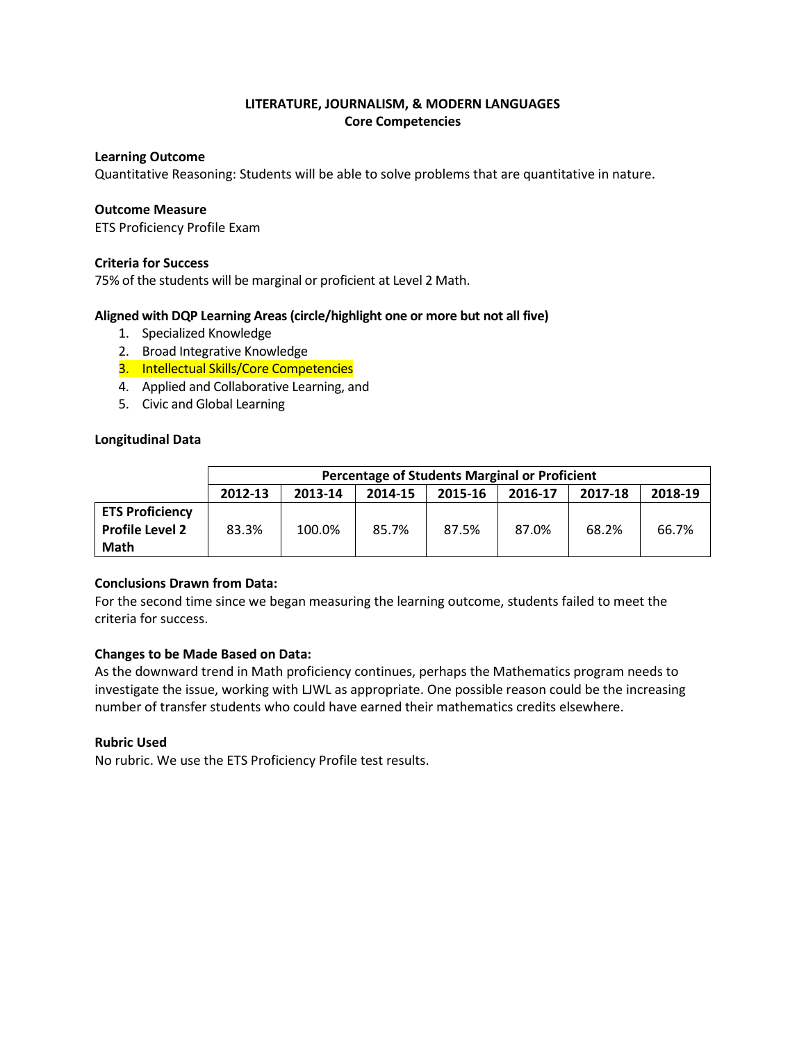### **Learning Outcome**

Quantitative Reasoning: Students will be able to solve problems that are quantitative in nature.

#### **Outcome Measure**

ETS Proficiency Profile Exam

### **Criteria for Success**

75% of the students will be marginal or proficient at Level 2 Math.

### **Aligned with DQP Learning Areas (circle/highlight one or more but not all five)**

- 1. Specialized Knowledge
- 2. Broad Integrative Knowledge
- 3. Intellectual Skills/Core Competencies
- 4. Applied and Collaborative Learning, and
- 5. Civic and Global Learning

### **Longitudinal Data**

|                        | <b>Percentage of Students Marginal or Proficient</b> |         |         |         |         |         |         |
|------------------------|------------------------------------------------------|---------|---------|---------|---------|---------|---------|
|                        | 2012-13                                              | 2013-14 | 2014-15 | 2015-16 | 2016-17 | 2017-18 | 2018-19 |
| <b>ETS Proficiency</b> |                                                      |         |         |         |         |         |         |
| <b>Profile Level 2</b> | 83.3%                                                | 100.0%  | 85.7%   | 87.5%   | 87.0%   | 68.2%   | 66.7%   |
| <b>Math</b>            |                                                      |         |         |         |         |         |         |

# **Conclusions Drawn from Data:**

For the second time since we began measuring the learning outcome, students failed to meet the criteria for success.

# **Changes to be Made Based on Data:**

As the downward trend in Math proficiency continues, perhaps the Mathematics program needs to investigate the issue, working with LJWL as appropriate. One possible reason could be the increasing number of transfer students who could have earned their mathematics credits elsewhere.

# **Rubric Used**

No rubric. We use the ETS Proficiency Profile test results.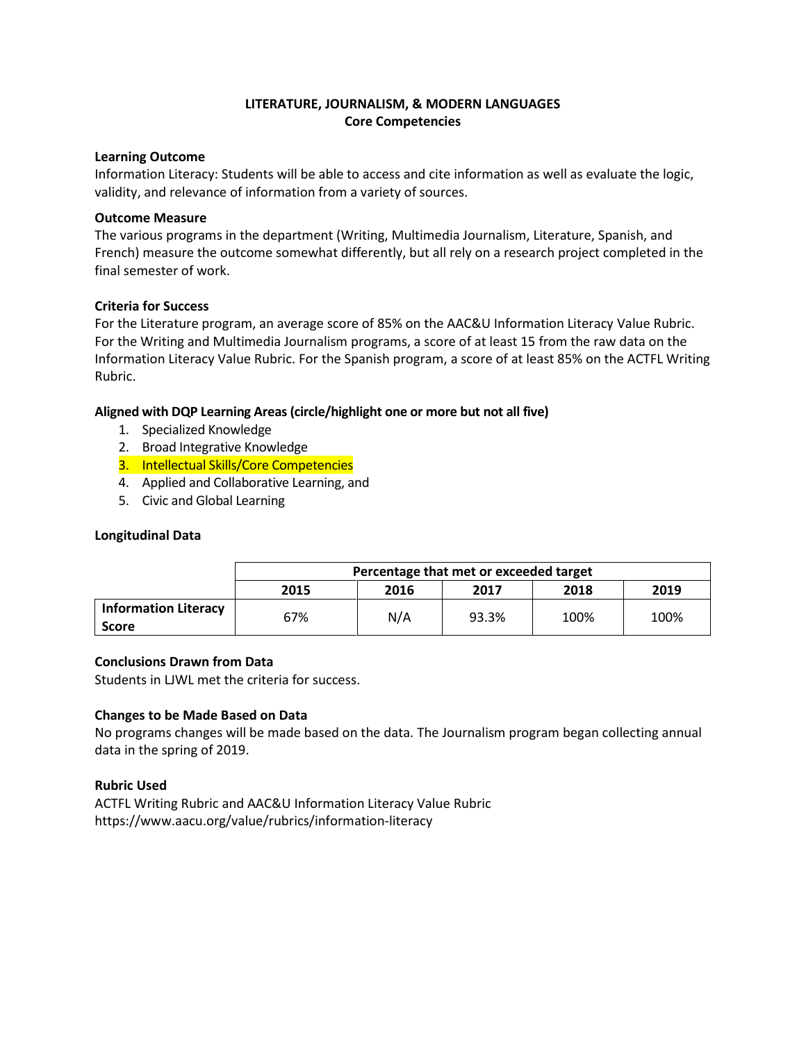#### **Learning Outcome**

Information Literacy: Students will be able to access and cite information as well as evaluate the logic, validity, and relevance of information from a variety of sources.

### **Outcome Measure**

The various programs in the department (Writing, Multimedia Journalism, Literature, Spanish, and French) measure the outcome somewhat differently, but all rely on a research project completed in the final semester of work.

# **Criteria for Success**

For the Literature program, an average score of 85% on the AAC&U Information Literacy Value Rubric. For the Writing and Multimedia Journalism programs, a score of at least 15 from the raw data on the Information Literacy Value Rubric. For the Spanish program, a score of at least 85% on the ACTFL Writing Rubric.

# **Aligned with DQP Learning Areas (circle/highlight one or more but not all five)**

- 1. Specialized Knowledge
- 2. Broad Integrative Knowledge
- 3. Intellectual Skills/Core Competencies
- 4. Applied and Collaborative Learning, and
- 5. Civic and Global Learning

# **Longitudinal Data**

|                                      | Percentage that met or exceeded target |      |       |      |      |  |
|--------------------------------------|----------------------------------------|------|-------|------|------|--|
|                                      | 2015                                   | 2016 | 2017  | 2018 | 2019 |  |
| <b>Information Literacy</b><br>Score | 67%                                    | N/A  | 93.3% | 100% | 100% |  |

# **Conclusions Drawn from Data**

Students in LJWL met the criteria for success.

# **Changes to be Made Based on Data**

No programs changes will be made based on the data. The Journalism program began collecting annual data in the spring of 2019.

# **Rubric Used**

ACTFL Writing Rubric and AAC&U Information Literacy Value Rubric https://www.aacu.org/value/rubrics/information-literacy